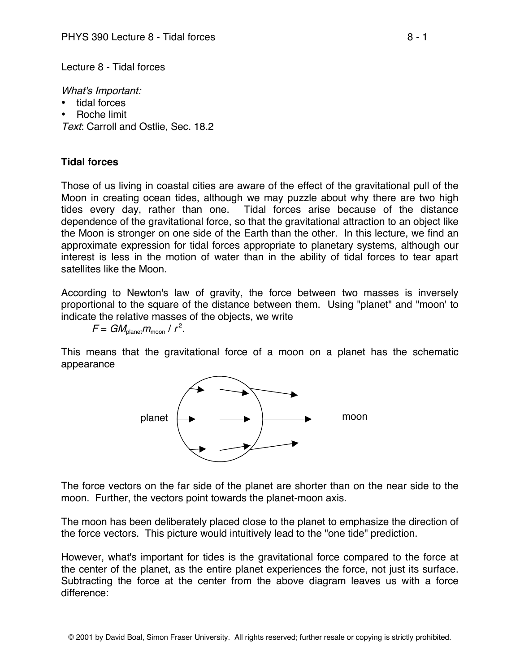Lecture 8 - Tidal forces

What's Important:

- tidal forces
- Roche limit

Text: Carroll and Ostlie, Sec. 18.2

## **Tidal forces**

Those of us living in coastal cities are aware of the effect of the gravitational pull of the Moon in creating ocean tides, although we may puzzle about why there are two high tides every day, rather than one. Tidal forces arise because of the distance dependence of the gravitational force, so that the gravitational attraction to an object like the Moon is stronger on one side of the Earth than the other. In this lecture, we find an approximate expression for tidal forces appropriate to planetary systems, although our interest is less in the motion of water than in the ability of tidal forces to tear apart satellites like the Moon.

According to Newton's law of gravity, the force between two masses is inversely proportional to the square of the distance between them. Using "planet" and "moon' to indicate the relative masses of the objects, we write

 $F = GM_{\text{planet}} m_{\text{moon}}$  /  $r^2$ .

This means that the gravitational force of a moon on a planet has the schematic appearance



The force vectors on the far side of the planet are shorter than on the near side to the moon. Further, the vectors point towards the planet-moon axis.

The moon has been deliberately placed close to the planet to emphasize the direction of the force vectors. This picture would intuitively lead to the "one tide" prediction.

However, what's important for tides is the gravitational force compared to the force at the center of the planet, as the entire planet experiences the force, not just its surface. Subtracting the force at the center from the above diagram leaves us with a force difference: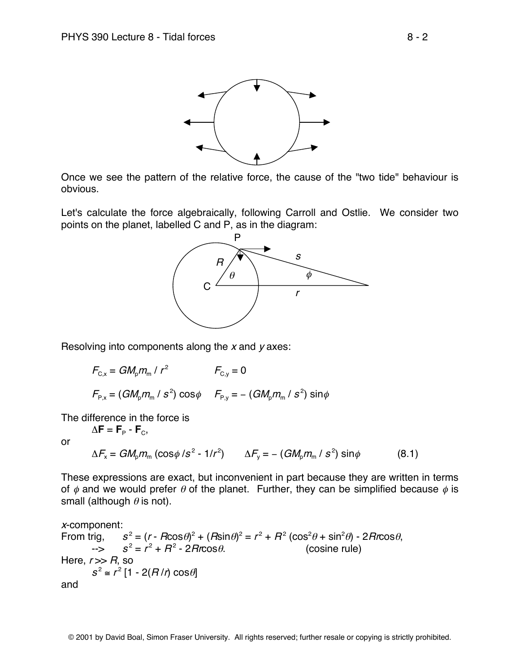

Once we see the pattern of the relative force, the cause of the "two tide" behaviour is obvious.

Let's calculate the force algebraically, following Carroll and Ostlie. We consider two points on the planet, labelled C and P, as in the diagram:



Resolving into components along the  $x$  and  $y$  axes:

$$
F_{C,x} = GM_p m_m / r^2
$$
  
\n
$$
F_{C,y} = 0
$$
  
\n
$$
F_{P,x} = (GM_p m_m / s^2) \cos \phi
$$
  
\n
$$
F_{P,y} = -(GM_p m_m / s^2) \sin \phi
$$

The difference in the force is

 $\Delta$ **F** = **F**<sub>P</sub> - **F**<sub>C</sub>,

or

$$
\Delta F_x = GM_p m_m \left( \cos \phi / s^2 - 1/r^2 \right) \qquad \Delta F_y = - \left( GM_p m_m / s^2 \right) \sin \phi \tag{8.1}
$$

These expressions are exact, but inconvenient in part because they are written in terms of  $\phi$  and we would prefer  $\theta$  of the planet. Further, they can be simplified because  $\phi$  is small (although  $\theta$  is not).

<sup>x</sup>-component: From trig,  $s^2 = (r - R\cos\theta)^2 + (R\sin\theta)^2 = r^2 + R^2(\cos^2\theta + \sin^2\theta) - 2Rr\cos\theta$  $s^2 = r^2 + R^2 - 2Rr\cos\theta.$  (cosine rule) Here,  $r \gg R$ , so  $s^2 \approx r^2 [1 - 2(R/t) \cos\theta]$ and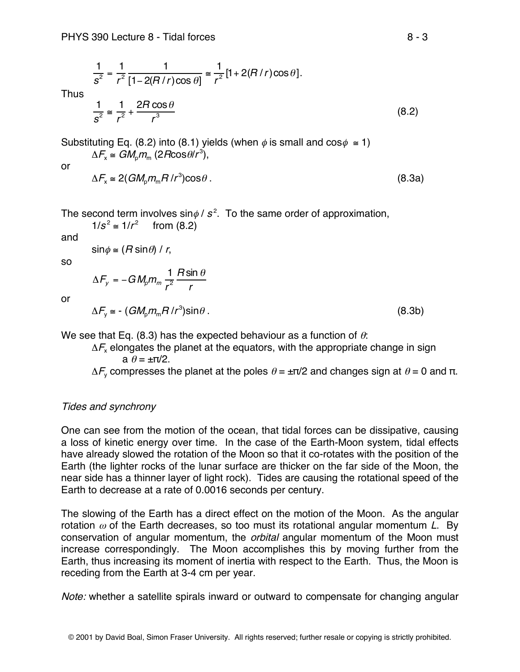$$
\frac{1}{s^2} = \frac{1}{r^2} \frac{1}{[1 - 2(R/r)\cos\theta]} \approx \frac{1}{r^2} [1 + 2(R/r)\cos\theta].
$$
\n
$$
\frac{1}{s^2} \approx \frac{1}{r^2} + \frac{2R\cos\theta}{r^3}
$$
\n(8.2)

Substituting Eq. (8.2) into (8.1) yields (when  $\phi$  is small and cos $\phi \approx 1$ )  $\Delta F_{\rm x} \cong GM_{\rm p}m_{\rm m}$  (2Rcos $\theta/r^3$ ),

or

Thus

 $\Delta F_x \approx 2(GM_p m_m H/r^3) \cos \theta$ . (8.3a)

The second term involves sin $\phi$  /  $s^2$ . To the same order of approximation,

 $1/s^2$  ≡  $1/r^2$  from (8.2) and

$$
\sin \phi \cong (R \sin \theta) / r,
$$

so

$$
\Delta F_y = -GM_p m_m \frac{1}{r^2} \frac{R \sin \theta}{r}
$$

or

 $\Delta F_y \approx - (GM_p m_m H/r^3) \sin\theta$ . (8.3b)

We see that Eq. (8.3) has the expected behaviour as a function of  $\theta$ :

r

 $\Delta F_{x}$  elongates the planet at the equators, with the appropriate change in sign a  $\theta = \pm \pi/2$ .

 $\Delta F$ <sub>v</sub> compresses the planet at the poles  $\theta = \pm \pi/2$  and changes sign at  $\theta = 0$  and π.

## Tides and synchrony

One can see from the motion of the ocean, that tidal forces can be dissipative, causing a loss of kinetic energy over time. In the case of the Earth-Moon system, tidal effects have already slowed the rotation of the Moon so that it co-rotates with the position of the Earth (the lighter rocks of the lunar surface are thicker on the far side of the Moon, the near side has a thinner layer of light rock). Tides are causing the rotational speed of the Earth to decrease at a rate of 0.0016 seconds per century.

The slowing of the Earth has a direct effect on the motion of the Moon. As the angular rotation  $\omega$  of the Earth decreases, so too must its rotational angular momentum L. By conservation of angular momentum, the orbital angular momentum of the Moon must increase correspondingly. The Moon accomplishes this by moving further from the Earth, thus increasing its moment of inertia with respect to the Earth. Thus, the Moon is receding from the Earth at 3-4 cm per year.

Note: whether a satellite spirals inward or outward to compensate for changing angular